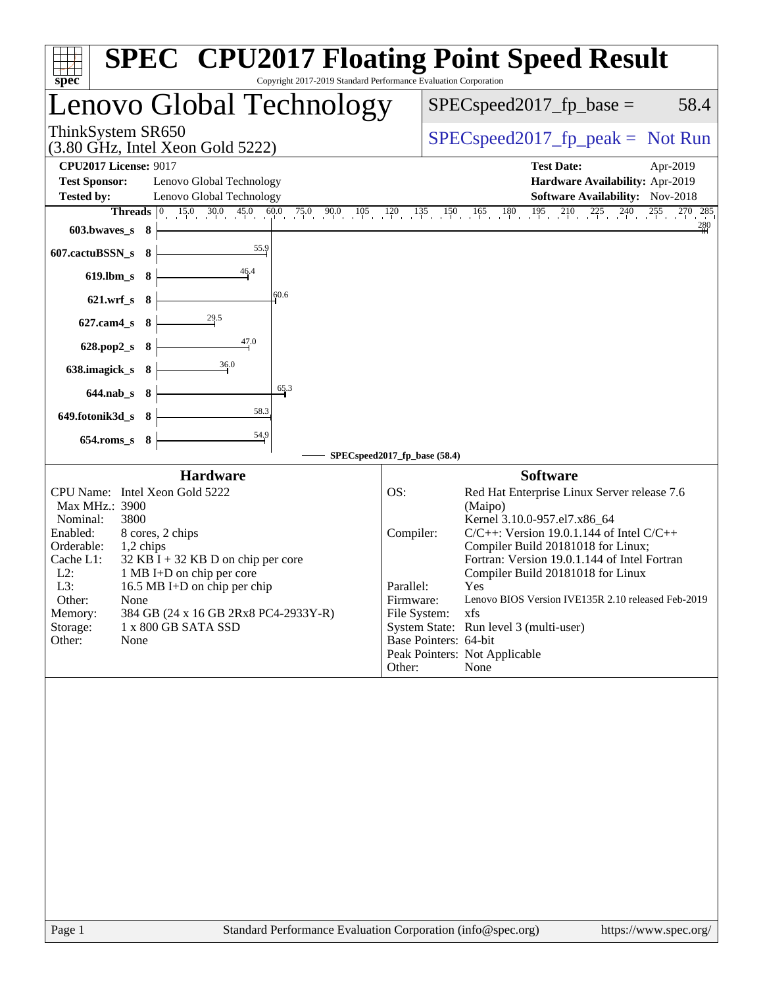| Copyright 2017-2019 Standard Performance Evaluation Corporation<br>$spec^*$                                                                                                                                                                                                                                                                                                                                     | <b>SPEC<sup>®</sup></b> CPU2017 Floating Point Speed Result                                                                                                                                                                                                                                                                                                                                                                                                                                                                                   |
|-----------------------------------------------------------------------------------------------------------------------------------------------------------------------------------------------------------------------------------------------------------------------------------------------------------------------------------------------------------------------------------------------------------------|-----------------------------------------------------------------------------------------------------------------------------------------------------------------------------------------------------------------------------------------------------------------------------------------------------------------------------------------------------------------------------------------------------------------------------------------------------------------------------------------------------------------------------------------------|
| Lenovo Global Technology                                                                                                                                                                                                                                                                                                                                                                                        | $SPEC speed2017_fp\_base =$<br>58.4                                                                                                                                                                                                                                                                                                                                                                                                                                                                                                           |
| ThinkSystem SR650<br>$(3.80 \text{ GHz}, \text{Intel Xeon Gold } 5222)$                                                                                                                                                                                                                                                                                                                                         | $SPEC speed2017fp peak = Not Run$                                                                                                                                                                                                                                                                                                                                                                                                                                                                                                             |
| <b>CPU2017 License: 9017</b><br><b>Test Sponsor:</b><br>Lenovo Global Technology<br>Lenovo Global Technology<br><b>Tested by:</b>                                                                                                                                                                                                                                                                               | <b>Test Date:</b><br>Apr-2019<br>Hardware Availability: Apr-2019<br><b>Software Availability:</b> Nov-2018                                                                                                                                                                                                                                                                                                                                                                                                                                    |
| $15.0$ 30.0 45.0 60.0 75.0 90.0<br>$105 \t 120$<br>Threads $ 0 $<br>603.bwaves_s 8                                                                                                                                                                                                                                                                                                                              | $135$ $150$ $165$ $180$ $195$ $210$ $225$ $240$ $255$<br>270 285<br>280                                                                                                                                                                                                                                                                                                                                                                                                                                                                       |
| 55.9<br>607.cactuBSSN_s<br>- 8<br>46.4<br>619.lbm_s 8                                                                                                                                                                                                                                                                                                                                                           |                                                                                                                                                                                                                                                                                                                                                                                                                                                                                                                                               |
| 60.6<br>$621.wrf$ <sub>S</sub><br>- 8<br>29.5                                                                                                                                                                                                                                                                                                                                                                   |                                                                                                                                                                                                                                                                                                                                                                                                                                                                                                                                               |
| $627$ .cam $4$ <sub>S</sub><br>- 8<br>47.0<br>628.pop2_s<br>- 8                                                                                                                                                                                                                                                                                                                                                 |                                                                                                                                                                                                                                                                                                                                                                                                                                                                                                                                               |
| 36.0<br>638.imagick_s<br>- 8<br>65.3<br>$644$ .nab s $8$                                                                                                                                                                                                                                                                                                                                                        |                                                                                                                                                                                                                                                                                                                                                                                                                                                                                                                                               |
| 58.3<br>649.fotonik3d_s<br>- 8                                                                                                                                                                                                                                                                                                                                                                                  |                                                                                                                                                                                                                                                                                                                                                                                                                                                                                                                                               |
| 54.9<br>654.roms_s 8                                                                                                                                                                                                                                                                                                                                                                                            | SPECspeed2017_fp_base (58.4)                                                                                                                                                                                                                                                                                                                                                                                                                                                                                                                  |
| <b>Hardware</b><br>CPU Name: Intel Xeon Gold 5222<br>Max MHz.: 3900<br>3800<br>Nominal:<br>Enabled:<br>8 cores, 2 chips<br>Orderable:<br>1,2 chips<br>Cache L1:<br>$32$ KB I + 32 KB D on chip per core<br>$L2$ :<br>1 MB I+D on chip per core<br>L3:<br>16.5 MB I+D on chip per chip<br>Other:<br>None<br>384 GB (24 x 16 GB 2Rx8 PC4-2933Y-R)<br>Memory:<br>Storage:<br>1 x 800 GB SATA SSD<br>Other:<br>None | <b>Software</b><br>OS:<br>Red Hat Enterprise Linux Server release 7.6<br>(Maipo)<br>Kernel 3.10.0-957.el7.x86_64<br>Compiler:<br>$C/C++$ : Version 19.0.1.144 of Intel $C/C++$<br>Compiler Build 20181018 for Linux;<br>Fortran: Version 19.0.1.144 of Intel Fortran<br>Compiler Build 20181018 for Linux<br>Parallel:<br>Yes<br>Lenovo BIOS Version IVE135R 2.10 released Feb-2019<br>Firmware:<br>File System:<br>xfs<br>System State: Run level 3 (multi-user)<br>Base Pointers: 64-bit<br>Peak Pointers: Not Applicable<br>Other:<br>None |
| Standard Performance Evaluation Corporation (info@spec.org)<br>Page 1                                                                                                                                                                                                                                                                                                                                           | https://www.spec.org/                                                                                                                                                                                                                                                                                                                                                                                                                                                                                                                         |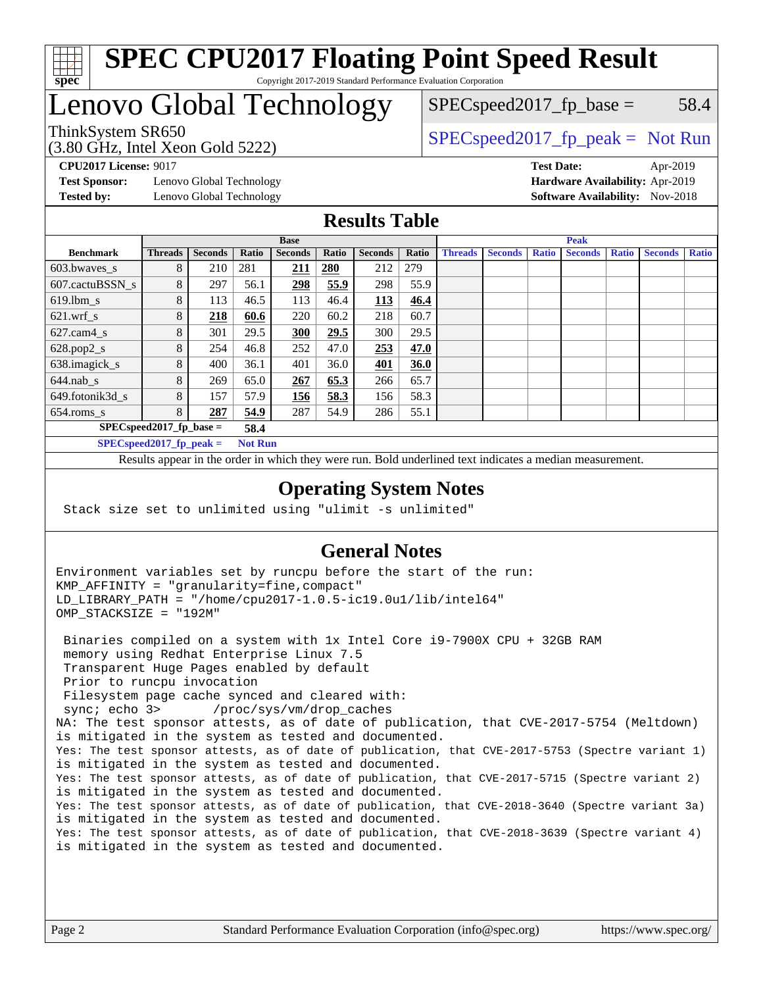

#### **[SPEC CPU2017 Floating Point Speed Result](http://www.spec.org/auto/cpu2017/Docs/result-fields.html#SPECCPU2017FloatingPointSpeedResult)** Copyright 2017-2019 Standard Performance Evaluation Corporation

# Lenovo Global Technology

(3.80 GHz, Intel Xeon Gold 5222)

ThinkSystem SR650<br>  $SPEC speed2017<sub>rfp</sub> peak = Not Run$ 

 $SPEC speed2017_fp\_base = 58.4$ 

**[Test Sponsor:](http://www.spec.org/auto/cpu2017/Docs/result-fields.html#TestSponsor)** Lenovo Global Technology **[Hardware Availability:](http://www.spec.org/auto/cpu2017/Docs/result-fields.html#HardwareAvailability)** Apr-2019 **[Tested by:](http://www.spec.org/auto/cpu2017/Docs/result-fields.html#Testedby)** Lenovo Global Technology **[Software Availability:](http://www.spec.org/auto/cpu2017/Docs/result-fields.html#SoftwareAvailability)** Nov-2018

**[CPU2017 License:](http://www.spec.org/auto/cpu2017/Docs/result-fields.html#CPU2017License)** 9017 **[Test Date:](http://www.spec.org/auto/cpu2017/Docs/result-fields.html#TestDate)** Apr-2019

## **[Results Table](http://www.spec.org/auto/cpu2017/Docs/result-fields.html#ResultsTable)**

|                                              | <b>Base</b>                        |                |       |                | <b>Peak</b>  |                |       |                |                |              |                |              |                |              |
|----------------------------------------------|------------------------------------|----------------|-------|----------------|--------------|----------------|-------|----------------|----------------|--------------|----------------|--------------|----------------|--------------|
| <b>Benchmark</b>                             | <b>Threads</b>                     | <b>Seconds</b> | Ratio | <b>Seconds</b> | <b>Ratio</b> | <b>Seconds</b> | Ratio | <b>Threads</b> | <b>Seconds</b> | <b>Ratio</b> | <b>Seconds</b> | <b>Ratio</b> | <b>Seconds</b> | <b>Ratio</b> |
| 603.bwayes s                                 | 8                                  | 210            | 281   | <u>211</u>     | 280          | 212            | 279   |                |                |              |                |              |                |              |
| 607.cactuBSSN s                              | 8                                  | 297            | 56.1  | 298            | 55.9         | 298            | 55.9  |                |                |              |                |              |                |              |
| $619.$ lbm_s                                 | 8                                  | 113            | 46.5  | 113            | 46.4         | 113            | 46.4  |                |                |              |                |              |                |              |
| $621.wrf$ s                                  | 8                                  | 218            | 60.6  | 220            | 60.2         | 218            | 60.7  |                |                |              |                |              |                |              |
| $627$ .cam4 s                                | 8                                  | 301            | 29.5  | 300            | 29.5         | 300            | 29.5  |                |                |              |                |              |                |              |
| $628.pop2_s$                                 | 8                                  | 254            | 46.8  | 252            | 47.0         | 253            | 47.0  |                |                |              |                |              |                |              |
| 638.imagick_s                                | 8                                  | 400            | 36.1  | 401            | 36.0         | 401            | 36.0  |                |                |              |                |              |                |              |
| $644$ .nab s                                 | 8                                  | 269            | 65.0  | <u>267</u>     | 65.3         | 266            | 65.7  |                |                |              |                |              |                |              |
| 649.fotonik3d s                              | 8                                  | 157            | 57.9  | 156            | 58.3         | 156            | 58.3  |                |                |              |                |              |                |              |
| $654$ .roms s                                | 8                                  | 287            | 54.9  | 287            | 54.9         | 286            | 55.1  |                |                |              |                |              |                |              |
|                                              | $SPEC speed2017$ fp base =<br>58.4 |                |       |                |              |                |       |                |                |              |                |              |                |              |
| SPECspeed 2017 fp peak $=$<br><b>Not Run</b> |                                    |                |       |                |              |                |       |                |                |              |                |              |                |              |

Results appear in the [order in which they were run.](http://www.spec.org/auto/cpu2017/Docs/result-fields.html#RunOrder) Bold underlined text [indicates a median measurement](http://www.spec.org/auto/cpu2017/Docs/result-fields.html#Median).

#### **[Operating System Notes](http://www.spec.org/auto/cpu2017/Docs/result-fields.html#OperatingSystemNotes)**

Stack size set to unlimited using "ulimit -s unlimited"

### **[General Notes](http://www.spec.org/auto/cpu2017/Docs/result-fields.html#GeneralNotes)**

Environment variables set by runcpu before the start of the run: KMP\_AFFINITY = "granularity=fine,compact" LD\_LIBRARY\_PATH = "/home/cpu2017-1.0.5-ic19.0u1/lib/intel64" OMP\_STACKSIZE = "192M"

 Binaries compiled on a system with 1x Intel Core i9-7900X CPU + 32GB RAM memory using Redhat Enterprise Linux 7.5 Transparent Huge Pages enabled by default Prior to runcpu invocation Filesystem page cache synced and cleared with: sync; echo 3> /proc/sys/vm/drop\_caches NA: The test sponsor attests, as of date of publication, that CVE-2017-5754 (Meltdown) is mitigated in the system as tested and documented. Yes: The test sponsor attests, as of date of publication, that CVE-2017-5753 (Spectre variant 1) is mitigated in the system as tested and documented. Yes: The test sponsor attests, as of date of publication, that CVE-2017-5715 (Spectre variant 2) is mitigated in the system as tested and documented. Yes: The test sponsor attests, as of date of publication, that CVE-2018-3640 (Spectre variant 3a) is mitigated in the system as tested and documented. Yes: The test sponsor attests, as of date of publication, that CVE-2018-3639 (Spectre variant 4) is mitigated in the system as tested and documented.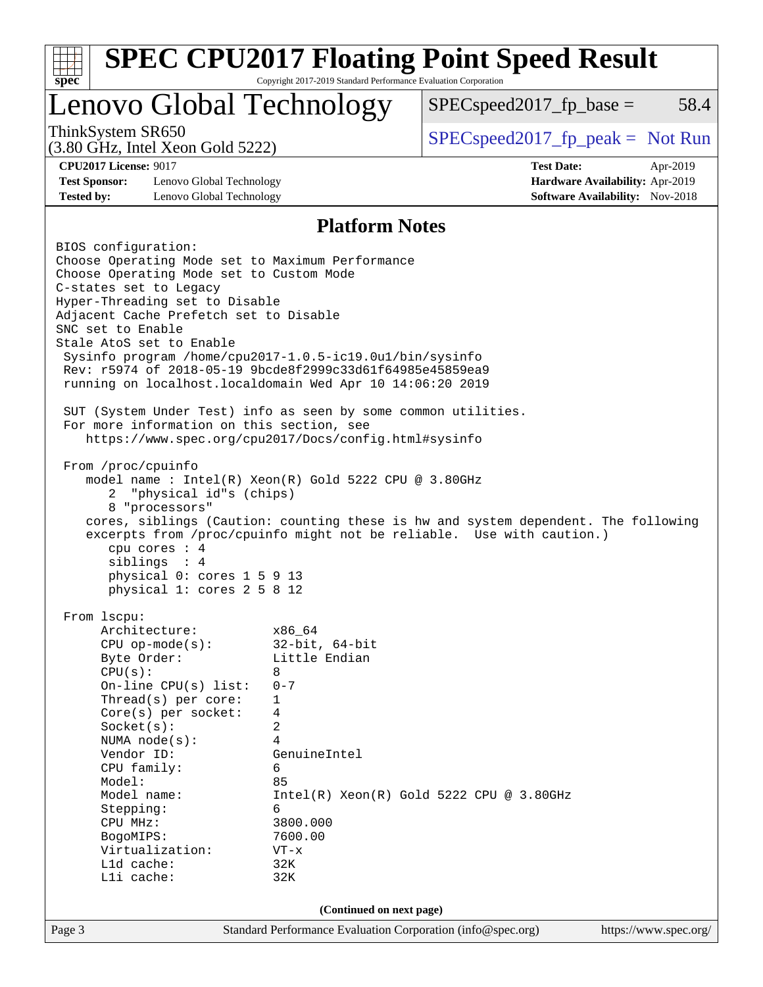| spec <sup>®</sup>                                                                                                                                                                                                                                                                                                                                                                                                                                                                                                                                                                                                                                                                                                                                                                                                                                   | Copyright 2017-2019 Standard Performance Evaluation Corporation                                                                                                      | <b>SPEC CPU2017 Floating Point Speed Result</b>                                                                                                             |                                                                    |
|-----------------------------------------------------------------------------------------------------------------------------------------------------------------------------------------------------------------------------------------------------------------------------------------------------------------------------------------------------------------------------------------------------------------------------------------------------------------------------------------------------------------------------------------------------------------------------------------------------------------------------------------------------------------------------------------------------------------------------------------------------------------------------------------------------------------------------------------------------|----------------------------------------------------------------------------------------------------------------------------------------------------------------------|-------------------------------------------------------------------------------------------------------------------------------------------------------------|--------------------------------------------------------------------|
| Lenovo Global Technology                                                                                                                                                                                                                                                                                                                                                                                                                                                                                                                                                                                                                                                                                                                                                                                                                            |                                                                                                                                                                      | $SPEC speed2017fp base =$                                                                                                                                   | 58.4                                                               |
| ThinkSystem SR650<br>$(3.80 \text{ GHz}, \text{Intel Xeon Gold } 5222)$                                                                                                                                                                                                                                                                                                                                                                                                                                                                                                                                                                                                                                                                                                                                                                             |                                                                                                                                                                      | $SPEC speed2017_fp\_peak = Not Run$                                                                                                                         |                                                                    |
| <b>CPU2017 License: 9017</b>                                                                                                                                                                                                                                                                                                                                                                                                                                                                                                                                                                                                                                                                                                                                                                                                                        |                                                                                                                                                                      | <b>Test Date:</b>                                                                                                                                           | Apr-2019                                                           |
| <b>Test Sponsor:</b><br>Lenovo Global Technology<br><b>Tested by:</b><br>Lenovo Global Technology                                                                                                                                                                                                                                                                                                                                                                                                                                                                                                                                                                                                                                                                                                                                                   |                                                                                                                                                                      |                                                                                                                                                             | Hardware Availability: Apr-2019<br>Software Availability: Nov-2018 |
|                                                                                                                                                                                                                                                                                                                                                                                                                                                                                                                                                                                                                                                                                                                                                                                                                                                     |                                                                                                                                                                      |                                                                                                                                                             |                                                                    |
| BIOS configuration:                                                                                                                                                                                                                                                                                                                                                                                                                                                                                                                                                                                                                                                                                                                                                                                                                                 | <b>Platform Notes</b>                                                                                                                                                |                                                                                                                                                             |                                                                    |
| Choose Operating Mode set to Maximum Performance<br>Choose Operating Mode set to Custom Mode<br>C-states set to Legacy<br>Hyper-Threading set to Disable<br>Adjacent Cache Prefetch set to Disable<br>SNC set to Enable<br>Stale AtoS set to Enable<br>Sysinfo program /home/cpu2017-1.0.5-ic19.0ul/bin/sysinfo<br>Rev: r5974 of 2018-05-19 9bcde8f2999c33d61f64985e45859ea9<br>running on localhost. localdomain Wed Apr 10 14:06:20 2019<br>SUT (System Under Test) info as seen by some common utilities.<br>For more information on this section, see<br>https://www.spec.org/cpu2017/Docs/config.html#sysinfo<br>From /proc/cpuinfo<br>model name: $Intel(R)$ Xeon $(R)$ Gold 5222 CPU @ 3.80GHz<br>"physical id"s (chips)<br>2<br>8 "processors"<br>cpu cores : 4<br>siblings : 4<br>physical 0: cores 1 5 9 13<br>physical 1: cores 2 5 8 12 |                                                                                                                                                                      | cores, siblings (Caution: counting these is hw and system dependent. The following<br>excerpts from /proc/cpuinfo might not be reliable. Use with caution.) |                                                                    |
| From lscpu:<br>Architecture:<br>$CPU$ op-mode( $s$ ):<br>Byte Order:<br>CPU(s):<br>On-line $CPU(s)$ list:<br>Thread( $s$ ) per core:<br>$Core(s)$ per socket:<br>Socket(s):<br>NUMA $node(s):$<br>Vendor ID:<br>CPU family:<br>Model:<br>Model name:<br>Stepping:<br>CPU MHz:<br>BogoMIPS:<br>Virtualization:<br>Lld cache:<br>Lli cache:                                                                                                                                                                                                                                                                                                                                                                                                                                                                                                           | x86_64<br>$32$ -bit, $64$ -bit<br>Little Endian<br>8<br>$0 - 7$<br>1<br>4<br>2<br>4<br>GenuineIntel<br>6<br>85<br>6<br>3800.000<br>7600.00<br>$VT - x$<br>32K<br>32K | $Intel(R) Xeon(R) Gold 5222 CPU @ 3.80GHz$                                                                                                                  |                                                                    |
|                                                                                                                                                                                                                                                                                                                                                                                                                                                                                                                                                                                                                                                                                                                                                                                                                                                     |                                                                                                                                                                      |                                                                                                                                                             |                                                                    |
| Page 3                                                                                                                                                                                                                                                                                                                                                                                                                                                                                                                                                                                                                                                                                                                                                                                                                                              | (Continued on next page)<br>Standard Performance Evaluation Corporation (info@spec.org)                                                                              |                                                                                                                                                             | https://www.spec.org/                                              |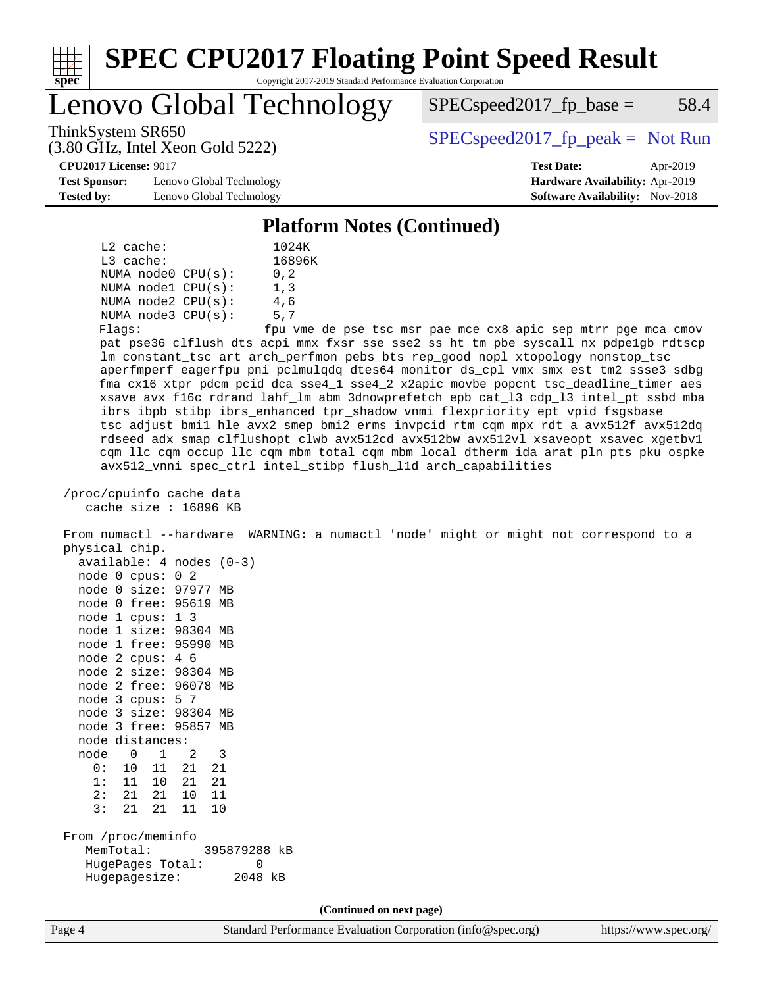

#### **[SPEC CPU2017 Floating Point Speed Result](http://www.spec.org/auto/cpu2017/Docs/result-fields.html#SPECCPU2017FloatingPointSpeedResult)** Copyright 2017-2019 Standard Performance Evaluation Corporation

Lenovo Global Technology

 $SPEC speed2017<sub>fp</sub> base = 58.4$ 

(3.80 GHz, Intel Xeon Gold 5222)

ThinkSystem SR650<br>  $SPEC speed2017<sub>rfp</sub> peak = Not Run$ 

**[Test Sponsor:](http://www.spec.org/auto/cpu2017/Docs/result-fields.html#TestSponsor)** Lenovo Global Technology **[Hardware Availability:](http://www.spec.org/auto/cpu2017/Docs/result-fields.html#HardwareAvailability)** Apr-2019 **[Tested by:](http://www.spec.org/auto/cpu2017/Docs/result-fields.html#Testedby)** Lenovo Global Technology **[Software Availability:](http://www.spec.org/auto/cpu2017/Docs/result-fields.html#SoftwareAvailability)** Nov-2018

**[CPU2017 License:](http://www.spec.org/auto/cpu2017/Docs/result-fields.html#CPU2017License)** 9017 **[Test Date:](http://www.spec.org/auto/cpu2017/Docs/result-fields.html#TestDate)** Apr-2019

#### **[Platform Notes \(Continued\)](http://www.spec.org/auto/cpu2017/Docs/result-fields.html#PlatformNotes)**

|                           | $L2$ cache: |                         |                              |  |  |
|---------------------------|-------------|-------------------------|------------------------------|--|--|
|                           | $L3$ cache: |                         |                              |  |  |
|                           |             | NUMA $node0$ $CPU(s)$ : | 0, 2                         |  |  |
|                           |             | NUMA $node1$ $CPU(s)$ : | 1.3                          |  |  |
|                           |             | NUMA $node2$ $CPU(s)$ : | 4,6                          |  |  |
|                           |             | NUMA $node3$ $CPU(s)$ : | 5,7                          |  |  |
| $F1 \cap \alpha \alpha$ . |             |                         | $f_{\text{D11}}$ $\tau$ mo d |  |  |

Flags: fpu vme de pse tsc msr pae mce cx8 apic sep mtrr pge mca cmov pat pse36 clflush dts acpi mmx fxsr sse sse2 ss ht tm pbe syscall nx pdpe1gb rdtscp lm constant\_tsc art arch\_perfmon pebs bts rep\_good nopl xtopology nonstop\_tsc aperfmperf eagerfpu pni pclmulqdq dtes64 monitor ds\_cpl vmx smx est tm2 ssse3 sdbg fma cx16 xtpr pdcm pcid dca sse4\_1 sse4\_2 x2apic movbe popcnt tsc\_deadline\_timer aes xsave avx f16c rdrand lahf\_lm abm 3dnowprefetch epb cat\_l3 cdp\_l3 intel\_pt ssbd mba ibrs ibpb stibp ibrs\_enhanced tpr\_shadow vnmi flexpriority ept vpid fsgsbase tsc\_adjust bmi1 hle avx2 smep bmi2 erms invpcid rtm cqm mpx rdt\_a avx512f avx512dq rdseed adx smap clflushopt clwb avx512cd avx512bw avx512vl xsaveopt xsavec xgetbv1 cqm\_llc cqm\_occup\_llc cqm\_mbm\_total cqm\_mbm\_local dtherm ida arat pln pts pku ospke avx512\_vnni spec\_ctrl intel\_stibp flush\_l1d arch\_capabilities

 /proc/cpuinfo cache data cache size : 16896 KB

 From numactl --hardware WARNING: a numactl 'node' might or might not correspond to a physical chip. available: 4 nodes (0-3)

| node         | 0              | cpus:      | - 2<br>0 |                |
|--------------|----------------|------------|----------|----------------|
| node         | 0              | size:      | 97977    | <b>MB</b>      |
| node         | 0              | free:      | 95619    | M <sub>R</sub> |
| node         | $\mathbf{1}$   | cpus:      | 13       |                |
| node 1       |                | size:      | 98304    | MB             |
| node         | 1              | free:      | 95990    | MВ             |
| node         | - 2            | cpus:      | 46       |                |
| node         | 2 size:        |            | 98304    | MВ             |
| node 2 free: |                |            | 96078    | MB             |
| node         | 3              | cpus: $57$ |          |                |
| node 3 size: |                |            | 98304    | MB             |
| node         | $\overline{3}$ | free:      | 95857    | MB             |
| node         | distances:     |            |          |                |
| node         | 0              | 1          | 2        | 3              |
| ი :          | 10             | 11         | 21       | 21             |
| 1 :          | 11             | 10         | 21       | 21             |
| 2:           | 21             | 21         | 10       | 11             |
| 3:           | 21             | 21         | 11       | 10             |

 From /proc/meminfo MemTotal: 395879288 kB HugePages\_Total: 0 Hugepagesize: 2048 kB

**(Continued on next page)**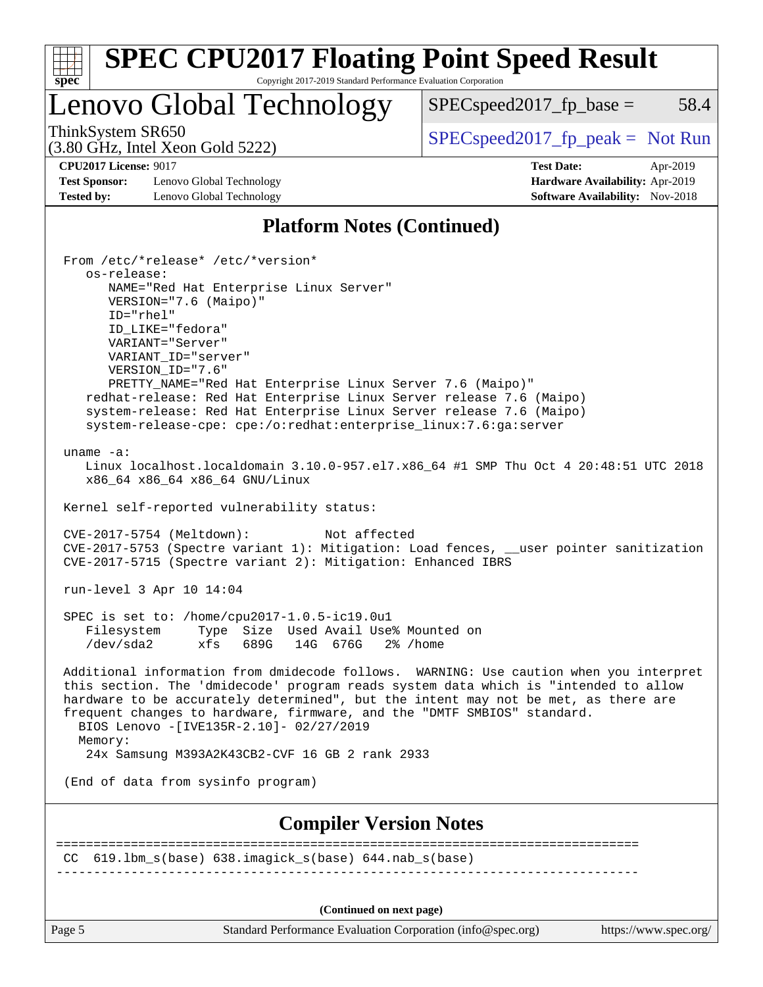| <b>SPEC CPU2017 Floating Point Speed Result</b><br>Copyright 2017-2019 Standard Performance Evaluation Corporation<br>spec <sup>®</sup>                                                                                                                                                                                                                                                                                                                                                                                                                                                                                                                                                                                                                                                                                                                                                                                                                                                                                                                                                                                                                                                                                                                                                                                                                                                                                                                                                                                                                                              |                                                                                                            |
|--------------------------------------------------------------------------------------------------------------------------------------------------------------------------------------------------------------------------------------------------------------------------------------------------------------------------------------------------------------------------------------------------------------------------------------------------------------------------------------------------------------------------------------------------------------------------------------------------------------------------------------------------------------------------------------------------------------------------------------------------------------------------------------------------------------------------------------------------------------------------------------------------------------------------------------------------------------------------------------------------------------------------------------------------------------------------------------------------------------------------------------------------------------------------------------------------------------------------------------------------------------------------------------------------------------------------------------------------------------------------------------------------------------------------------------------------------------------------------------------------------------------------------------------------------------------------------------|------------------------------------------------------------------------------------------------------------|
| <b>Lenovo Global Technology</b>                                                                                                                                                                                                                                                                                                                                                                                                                                                                                                                                                                                                                                                                                                                                                                                                                                                                                                                                                                                                                                                                                                                                                                                                                                                                                                                                                                                                                                                                                                                                                      | 58.4<br>$SPEC speed2017_fp\_base =$                                                                        |
| ThinkSystem SR650<br>$(3.80 \text{ GHz}, \text{Intel Xeon Gold } 5222)$                                                                                                                                                                                                                                                                                                                                                                                                                                                                                                                                                                                                                                                                                                                                                                                                                                                                                                                                                                                                                                                                                                                                                                                                                                                                                                                                                                                                                                                                                                              | $SPEC speed2017fr peak = Not Run$                                                                          |
| <b>CPU2017 License: 9017</b><br><b>Test Sponsor:</b><br>Lenovo Global Technology<br><b>Tested by:</b><br>Lenovo Global Technology                                                                                                                                                                                                                                                                                                                                                                                                                                                                                                                                                                                                                                                                                                                                                                                                                                                                                                                                                                                                                                                                                                                                                                                                                                                                                                                                                                                                                                                    | <b>Test Date:</b><br>Apr-2019<br>Hardware Availability: Apr-2019<br><b>Software Availability:</b> Nov-2018 |
| <b>Platform Notes (Continued)</b>                                                                                                                                                                                                                                                                                                                                                                                                                                                                                                                                                                                                                                                                                                                                                                                                                                                                                                                                                                                                                                                                                                                                                                                                                                                                                                                                                                                                                                                                                                                                                    |                                                                                                            |
| From /etc/*release* /etc/*version*<br>os-release:<br>NAME="Red Hat Enterprise Linux Server"<br>VERSION="7.6 (Maipo)"<br>ID="rhel"<br>ID_LIKE="fedora"<br>VARIANT="Server"<br>VARIANT_ID="server"<br>VERSION_ID="7.6"<br>PRETTY_NAME="Red Hat Enterprise Linux Server 7.6 (Maipo)"<br>redhat-release: Red Hat Enterprise Linux Server release 7.6 (Maipo)<br>system-release: Red Hat Enterprise Linux Server release 7.6 (Maipo)<br>system-release-cpe: cpe:/o:redhat:enterprise_linux:7.6:ga:server<br>uname $-a$ :<br>Linux localhost.localdomain 3.10.0-957.el7.x86_64 #1 SMP Thu Oct 4 20:48:51 UTC 2018<br>x86_64 x86_64 x86_64 GNU/Linux<br>Kernel self-reported vulnerability status:<br>CVE-2017-5754 (Meltdown):<br>Not affected<br>CVE-2017-5753 (Spectre variant 1): Mitigation: Load fences, __user pointer sanitization<br>CVE-2017-5715 (Spectre variant 2): Mitigation: Enhanced IBRS<br>run-level 3 Apr 10 14:04<br>SPEC is set to: /home/cpu2017-1.0.5-ic19.0u1<br>Type Size Used Avail Use% Mounted on<br>Filesystem<br>/dev/sda2<br>689G 14G 676G 2% / home<br>xfs<br>Additional information from dmidecode follows. WARNING: Use caution when you interpret<br>this section. The 'dmidecode' program reads system data which is "intended to allow<br>hardware to be accurately determined", but the intent may not be met, as there are<br>frequent changes to hardware, firmware, and the "DMTF SMBIOS" standard.<br>BIOS Lenovo -[IVE135R-2.10]- 02/27/2019<br>Memory:<br>24x Samsung M393A2K43CB2-CVF 16 GB 2 rank 2933<br>(End of data from sysinfo program) |                                                                                                            |
| <b>Compiler Version Notes</b>                                                                                                                                                                                                                                                                                                                                                                                                                                                                                                                                                                                                                                                                                                                                                                                                                                                                                                                                                                                                                                                                                                                                                                                                                                                                                                                                                                                                                                                                                                                                                        |                                                                                                            |
| $CC$ 619.1bm_s(base) 638.imagick_s(base) 644.nab_s(base)<br>(Continued on next page)                                                                                                                                                                                                                                                                                                                                                                                                                                                                                                                                                                                                                                                                                                                                                                                                                                                                                                                                                                                                                                                                                                                                                                                                                                                                                                                                                                                                                                                                                                 | ============================                                                                               |

Page 5 Standard Performance Evaluation Corporation [\(info@spec.org\)](mailto:info@spec.org) <https://www.spec.org/>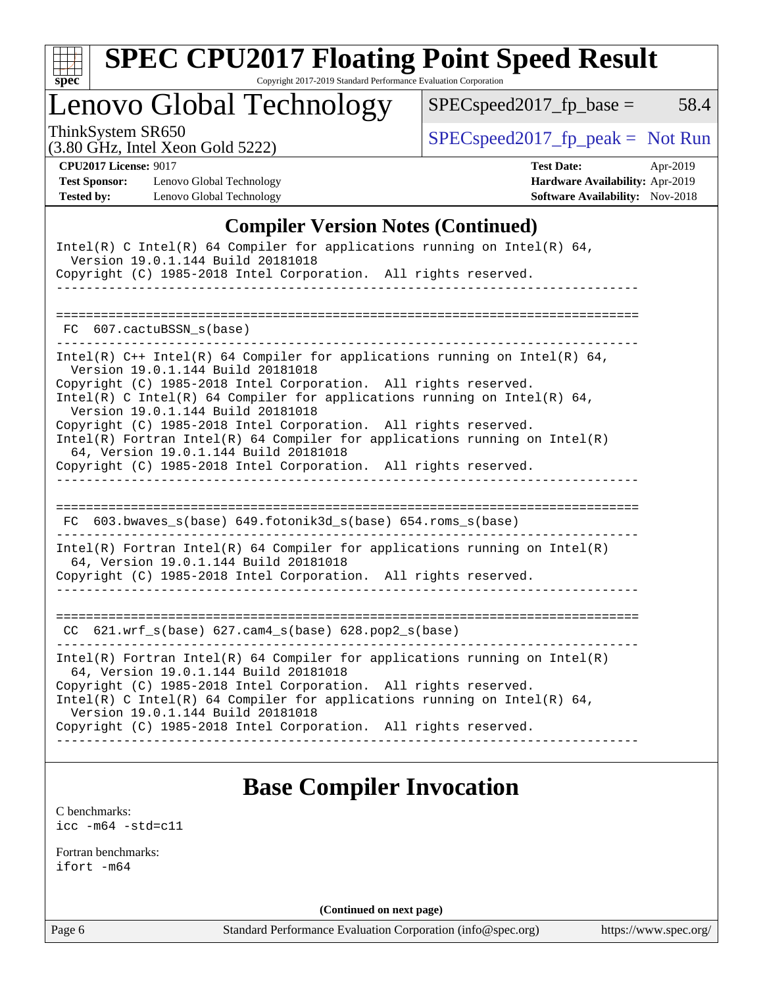

# **[SPEC CPU2017 Floating Point Speed Result](http://www.spec.org/auto/cpu2017/Docs/result-fields.html#SPECCPU2017FloatingPointSpeedResult)**

Copyright 2017-2019 Standard Performance Evaluation Corporation

Lenovo Global Technology

 $SPECspeed2017_fp\_base = 58.4$ 

(3.80 GHz, Intel Xeon Gold 5222)

ThinkSystem SR650<br>  $(3.80 \text{ GHz, Intel Yoon Gold } 5222)$  [SPECspeed2017\\_fp\\_peak =](http://www.spec.org/auto/cpu2017/Docs/result-fields.html#SPECspeed2017fppeak) Not Run

| <b>CPU2017 License: 9017</b> |                          | <b>Test Date:</b>                      | Apr-2019 |
|------------------------------|--------------------------|----------------------------------------|----------|
| <b>Test Sponsor:</b>         | Lenovo Global Technology | <b>Hardware Availability: Apr-2019</b> |          |
| <b>Tested by:</b>            | Lenovo Global Technology | <b>Software Availability:</b> Nov-2018 |          |

| <b>Test Date:</b>                      | Apr-2019 |
|----------------------------------------|----------|
| Hardware Availability: Apr-2019        |          |
| <b>Software Availability:</b> Nov-2018 |          |

## **[Compiler Version Notes \(Continued\)](http://www.spec.org/auto/cpu2017/Docs/result-fields.html#CompilerVersionNotes)**

| Intel(R) C Intel(R) 64 Compiler for applications running on Intel(R) 64,<br>Version 19.0.1.144 Build 20181018<br>Copyright (C) 1985-2018 Intel Corporation. All rights reserved.                                                                                                                                                                                                                                                                                                                                                                                     |
|----------------------------------------------------------------------------------------------------------------------------------------------------------------------------------------------------------------------------------------------------------------------------------------------------------------------------------------------------------------------------------------------------------------------------------------------------------------------------------------------------------------------------------------------------------------------|
| FC 607.cactuBSSN s(base)                                                                                                                                                                                                                                                                                                                                                                                                                                                                                                                                             |
| Intel(R) $C++$ Intel(R) 64 Compiler for applications running on Intel(R) 64,<br>Version 19.0.1.144 Build 20181018<br>Copyright (C) 1985-2018 Intel Corporation. All rights reserved.<br>Intel(R) C Intel(R) 64 Compiler for applications running on Intel(R) 64,<br>Version 19.0.1.144 Build 20181018<br>Copyright (C) 1985-2018 Intel Corporation. All rights reserved.<br>$Intel(R)$ Fortran Intel(R) 64 Compiler for applications running on Intel(R)<br>64, Version 19.0.1.144 Build 20181018<br>Copyright (C) 1985-2018 Intel Corporation. All rights reserved. |
| FC 603.bwaves_s(base) 649.fotonik3d_s(base) 654.roms_s(base)                                                                                                                                                                                                                                                                                                                                                                                                                                                                                                         |
| $Intel(R)$ Fortran Intel(R) 64 Compiler for applications running on Intel(R)<br>64, Version 19.0.1.144 Build 20181018<br>Copyright (C) 1985-2018 Intel Corporation. All rights reserved.                                                                                                                                                                                                                                                                                                                                                                             |
| $CC$ 621.wrf_s(base) 627.cam4_s(base) 628.pop2_s(base)                                                                                                                                                                                                                                                                                                                                                                                                                                                                                                               |
| $Intel(R)$ Fortran Intel(R) 64 Compiler for applications running on Intel(R)<br>64, Version 19.0.1.144 Build 20181018<br>Copyright (C) 1985-2018 Intel Corporation. All rights reserved.<br>Intel(R) C Intel(R) 64 Compiler for applications running on Intel(R) 64,<br>Version 19.0.1.144 Build 20181018<br>Copyright (C) 1985-2018 Intel Corporation. All rights reserved.                                                                                                                                                                                         |

# **[Base Compiler Invocation](http://www.spec.org/auto/cpu2017/Docs/result-fields.html#BaseCompilerInvocation)**

[C benchmarks](http://www.spec.org/auto/cpu2017/Docs/result-fields.html#Cbenchmarks): [icc -m64 -std=c11](http://www.spec.org/cpu2017/results/res2019q3/cpu2017-20190624-15516.flags.html#user_CCbase_intel_icc_64bit_c11_33ee0cdaae7deeeab2a9725423ba97205ce30f63b9926c2519791662299b76a0318f32ddfffdc46587804de3178b4f9328c46fa7c2b0cd779d7a61945c91cd35)

[Fortran benchmarks](http://www.spec.org/auto/cpu2017/Docs/result-fields.html#Fortranbenchmarks): [ifort -m64](http://www.spec.org/cpu2017/results/res2019q3/cpu2017-20190624-15516.flags.html#user_FCbase_intel_ifort_64bit_24f2bb282fbaeffd6157abe4f878425411749daecae9a33200eee2bee2fe76f3b89351d69a8130dd5949958ce389cf37ff59a95e7a40d588e8d3a57e0c3fd751)

**(Continued on next page)**

Page 6 Standard Performance Evaluation Corporation [\(info@spec.org\)](mailto:info@spec.org) <https://www.spec.org/>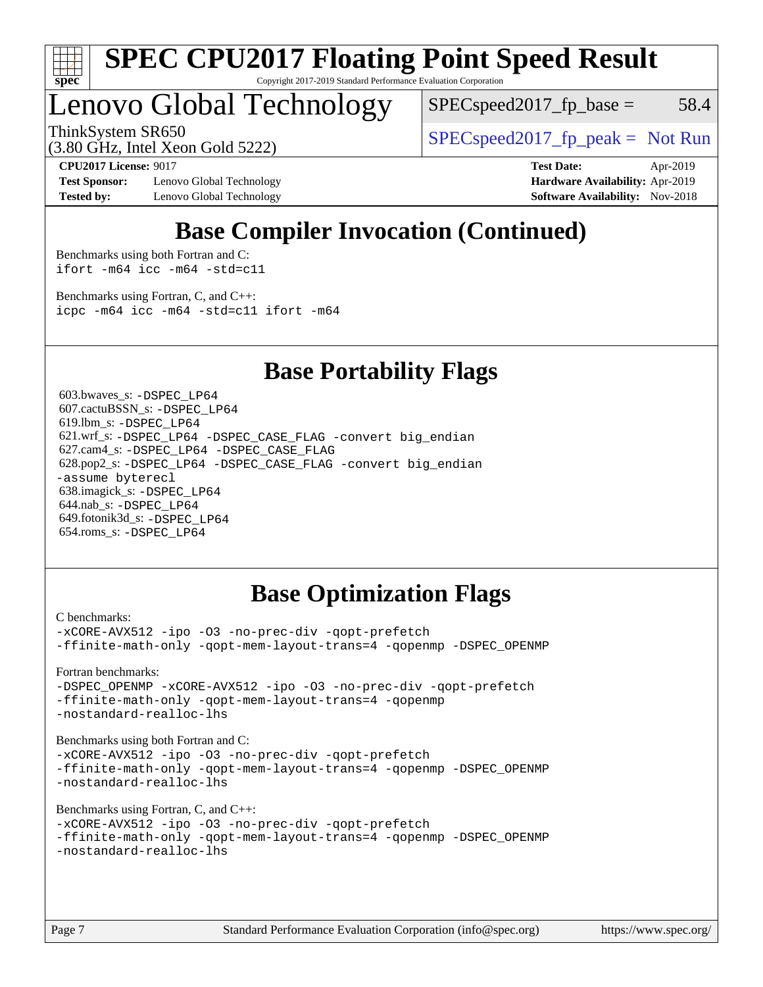

#### **[SPEC CPU2017 Floating Point Speed Result](http://www.spec.org/auto/cpu2017/Docs/result-fields.html#SPECCPU2017FloatingPointSpeedResult)** Copyright 2017-2019 Standard Performance Evaluation Corporation

Lenovo Global Technology

 $SPEC speed2017_fp\_base = 58.4$ 

ThinkSystem SR650  $SPEC speed2017$  [p\_peak = Not Run

(3.80 GHz, Intel Xeon Gold 5222)

**[Test Sponsor:](http://www.spec.org/auto/cpu2017/Docs/result-fields.html#TestSponsor)** Lenovo Global Technology **[Hardware Availability:](http://www.spec.org/auto/cpu2017/Docs/result-fields.html#HardwareAvailability)** Apr-2019 **[Tested by:](http://www.spec.org/auto/cpu2017/Docs/result-fields.html#Testedby)** Lenovo Global Technology **[Software Availability:](http://www.spec.org/auto/cpu2017/Docs/result-fields.html#SoftwareAvailability)** Nov-2018

**[CPU2017 License:](http://www.spec.org/auto/cpu2017/Docs/result-fields.html#CPU2017License)** 9017 **[Test Date:](http://www.spec.org/auto/cpu2017/Docs/result-fields.html#TestDate)** Apr-2019

# **[Base Compiler Invocation \(Continued\)](http://www.spec.org/auto/cpu2017/Docs/result-fields.html#BaseCompilerInvocation)**

[Benchmarks using both Fortran and C](http://www.spec.org/auto/cpu2017/Docs/result-fields.html#BenchmarksusingbothFortranandC): [ifort -m64](http://www.spec.org/cpu2017/results/res2019q3/cpu2017-20190624-15516.flags.html#user_CC_FCbase_intel_ifort_64bit_24f2bb282fbaeffd6157abe4f878425411749daecae9a33200eee2bee2fe76f3b89351d69a8130dd5949958ce389cf37ff59a95e7a40d588e8d3a57e0c3fd751) [icc -m64 -std=c11](http://www.spec.org/cpu2017/results/res2019q3/cpu2017-20190624-15516.flags.html#user_CC_FCbase_intel_icc_64bit_c11_33ee0cdaae7deeeab2a9725423ba97205ce30f63b9926c2519791662299b76a0318f32ddfffdc46587804de3178b4f9328c46fa7c2b0cd779d7a61945c91cd35)

[Benchmarks using Fortran, C, and C++:](http://www.spec.org/auto/cpu2017/Docs/result-fields.html#BenchmarksusingFortranCandCXX) [icpc -m64](http://www.spec.org/cpu2017/results/res2019q3/cpu2017-20190624-15516.flags.html#user_CC_CXX_FCbase_intel_icpc_64bit_4ecb2543ae3f1412ef961e0650ca070fec7b7afdcd6ed48761b84423119d1bf6bdf5cad15b44d48e7256388bc77273b966e5eb805aefd121eb22e9299b2ec9d9) [icc -m64 -std=c11](http://www.spec.org/cpu2017/results/res2019q3/cpu2017-20190624-15516.flags.html#user_CC_CXX_FCbase_intel_icc_64bit_c11_33ee0cdaae7deeeab2a9725423ba97205ce30f63b9926c2519791662299b76a0318f32ddfffdc46587804de3178b4f9328c46fa7c2b0cd779d7a61945c91cd35) [ifort -m64](http://www.spec.org/cpu2017/results/res2019q3/cpu2017-20190624-15516.flags.html#user_CC_CXX_FCbase_intel_ifort_64bit_24f2bb282fbaeffd6157abe4f878425411749daecae9a33200eee2bee2fe76f3b89351d69a8130dd5949958ce389cf37ff59a95e7a40d588e8d3a57e0c3fd751)

## **[Base Portability Flags](http://www.spec.org/auto/cpu2017/Docs/result-fields.html#BasePortabilityFlags)**

 603.bwaves\_s: [-DSPEC\\_LP64](http://www.spec.org/cpu2017/results/res2019q3/cpu2017-20190624-15516.flags.html#suite_basePORTABILITY603_bwaves_s_DSPEC_LP64) 607.cactuBSSN\_s: [-DSPEC\\_LP64](http://www.spec.org/cpu2017/results/res2019q3/cpu2017-20190624-15516.flags.html#suite_basePORTABILITY607_cactuBSSN_s_DSPEC_LP64) 619.lbm\_s: [-DSPEC\\_LP64](http://www.spec.org/cpu2017/results/res2019q3/cpu2017-20190624-15516.flags.html#suite_basePORTABILITY619_lbm_s_DSPEC_LP64) 621.wrf\_s: [-DSPEC\\_LP64](http://www.spec.org/cpu2017/results/res2019q3/cpu2017-20190624-15516.flags.html#suite_basePORTABILITY621_wrf_s_DSPEC_LP64) [-DSPEC\\_CASE\\_FLAG](http://www.spec.org/cpu2017/results/res2019q3/cpu2017-20190624-15516.flags.html#b621.wrf_s_baseCPORTABILITY_DSPEC_CASE_FLAG) [-convert big\\_endian](http://www.spec.org/cpu2017/results/res2019q3/cpu2017-20190624-15516.flags.html#user_baseFPORTABILITY621_wrf_s_convert_big_endian_c3194028bc08c63ac5d04de18c48ce6d347e4e562e8892b8bdbdc0214820426deb8554edfa529a3fb25a586e65a3d812c835984020483e7e73212c4d31a38223) 627.cam4\_s: [-DSPEC\\_LP64](http://www.spec.org/cpu2017/results/res2019q3/cpu2017-20190624-15516.flags.html#suite_basePORTABILITY627_cam4_s_DSPEC_LP64) [-DSPEC\\_CASE\\_FLAG](http://www.spec.org/cpu2017/results/res2019q3/cpu2017-20190624-15516.flags.html#b627.cam4_s_baseCPORTABILITY_DSPEC_CASE_FLAG) 628.pop2\_s: [-DSPEC\\_LP64](http://www.spec.org/cpu2017/results/res2019q3/cpu2017-20190624-15516.flags.html#suite_basePORTABILITY628_pop2_s_DSPEC_LP64) [-DSPEC\\_CASE\\_FLAG](http://www.spec.org/cpu2017/results/res2019q3/cpu2017-20190624-15516.flags.html#b628.pop2_s_baseCPORTABILITY_DSPEC_CASE_FLAG) [-convert big\\_endian](http://www.spec.org/cpu2017/results/res2019q3/cpu2017-20190624-15516.flags.html#user_baseFPORTABILITY628_pop2_s_convert_big_endian_c3194028bc08c63ac5d04de18c48ce6d347e4e562e8892b8bdbdc0214820426deb8554edfa529a3fb25a586e65a3d812c835984020483e7e73212c4d31a38223) [-assume byterecl](http://www.spec.org/cpu2017/results/res2019q3/cpu2017-20190624-15516.flags.html#user_baseFPORTABILITY628_pop2_s_assume_byterecl_7e47d18b9513cf18525430bbf0f2177aa9bf368bc7a059c09b2c06a34b53bd3447c950d3f8d6c70e3faf3a05c8557d66a5798b567902e8849adc142926523472) 638.imagick\_s: [-DSPEC\\_LP64](http://www.spec.org/cpu2017/results/res2019q3/cpu2017-20190624-15516.flags.html#suite_basePORTABILITY638_imagick_s_DSPEC_LP64) 644.nab\_s: [-DSPEC\\_LP64](http://www.spec.org/cpu2017/results/res2019q3/cpu2017-20190624-15516.flags.html#suite_basePORTABILITY644_nab_s_DSPEC_LP64) 649.fotonik3d\_s: [-DSPEC\\_LP64](http://www.spec.org/cpu2017/results/res2019q3/cpu2017-20190624-15516.flags.html#suite_basePORTABILITY649_fotonik3d_s_DSPEC_LP64) 654.roms\_s: [-DSPEC\\_LP64](http://www.spec.org/cpu2017/results/res2019q3/cpu2017-20190624-15516.flags.html#suite_basePORTABILITY654_roms_s_DSPEC_LP64)

# **[Base Optimization Flags](http://www.spec.org/auto/cpu2017/Docs/result-fields.html#BaseOptimizationFlags)**

```
C benchmarks: 
-xCORE-AVX512 -ipo -O3 -no-prec-div -qopt-prefetch
-ffinite-math-only -qopt-mem-layout-trans=4 -qopenmp -DSPEC_OPENMP
Fortran benchmarks: 
-xCORE-AVX512-ipo-O3-no-prec-div-qopt-prefetch
-ffinite-math-only -qopt-mem-layout-trans=4 -qopenmp
-nostandard-realloc-lhs
Benchmarks using both Fortran and C: 
-xCORE-AVX512 -ipo -O3 -no-prec-div -qopt-prefetch
-ffinite-math-only -qopt-mem-layout-trans=4 -qopenmp -DSPEC_OPENMP
-nostandard-realloc-lhs
Benchmarks using Fortran, C, and C++: 
-xCORE-AVX512 -ipo -O3 -no-prec-div -qopt-prefetch
-ffinite-math-only -qopt-mem-layout-trans=4 -qopenmp -DSPEC_OPENMP
```
[-nostandard-realloc-lhs](http://www.spec.org/cpu2017/results/res2019q3/cpu2017-20190624-15516.flags.html#user_CC_CXX_FCbase_f_2003_std_realloc_82b4557e90729c0f113870c07e44d33d6f5a304b4f63d4c15d2d0f1fab99f5daaed73bdb9275d9ae411527f28b936061aa8b9c8f2d63842963b95c9dd6426b8a)